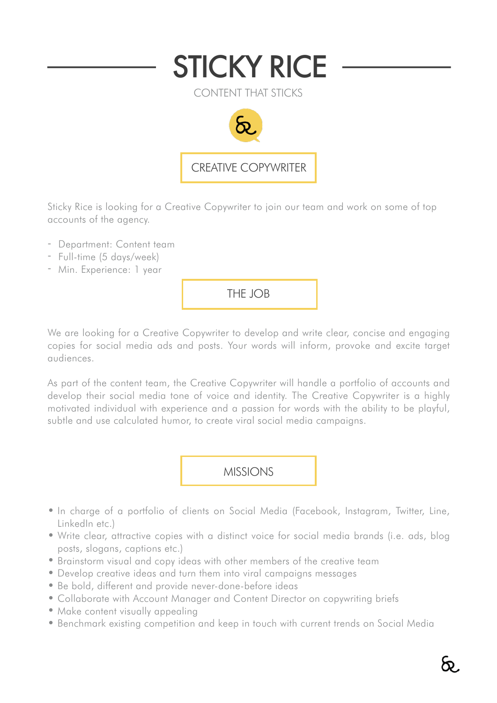

Sticky Rice is looking for a Creative Copywriter to join our team and work on some of top accounts of the agency.

- Department: Content team
- Full-time (5 days/week)
- Min. Experience: 1 year

THE JOB

We are looking for a Creative Copywriter to develop and write clear, concise and engaging copies for social media ads and posts. Your words will inform, provoke and excite target audiences.

As part of the content team, the Creative Copywriter will handle a portfolio of accounts and develop their social media tone of voice and identity. The Creative Copywriter is a highly motivated individual with experience and a passion for words with the ability to be playful, subtle and use calculated humor, to create viral social media campaigns.

MISSIONS

- In charge of a portfolio of clients on Social Media (Facebook, Instagram, Twitter, Line, LinkedIn etc.)
- Write clear, attractive copies with a distinct voice for social media brands (i.e. ads, blog posts, slogans, captions etc.)
- Brainstorm visual and copy ideas with other members of the creative team
- Develop creative ideas and turn them into viral campaigns messages
- Be bold, different and provide never-done-before ideas
- Collaborate with Account Manager and Content Director on copywriting briefs
- Make content visually appealing
- Benchmark existing competition and keep in touch with current trends on Social Media